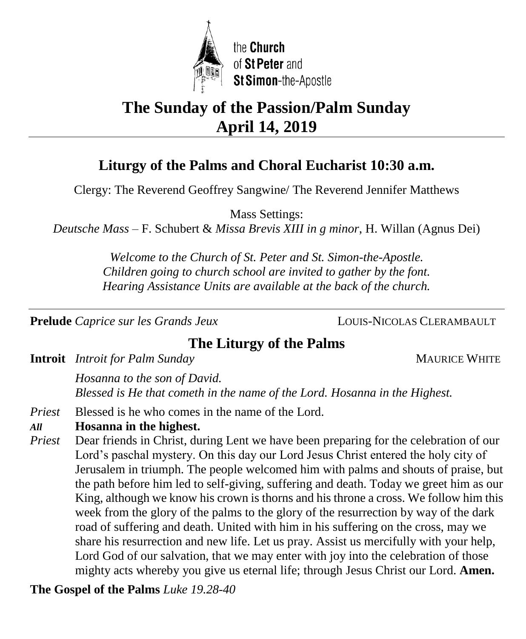

# **The Sunday of the Passion/Palm Sunday April 14, 2019**

# **Liturgy of the Palms and Choral Eucharist 10:30 a.m.**

Clergy: The Reverend Geoffrey Sangwine/ The Reverend Jennifer Matthews

Mass Settings:

*Deutsche Mass* – F. Schubert & *Missa Brevis XIII in g minor*, H. Willan (Agnus Dei)

*Welcome to the Church of St. Peter and St. Simon-the-Apostle. Children going to church school are invited to gather by the font. Hearing Assistance Units are available at the back of the church.*

**Prelude** *Caprice sur les Grands Jeux* LOUIS-NICOLAS CLERAMBAULT

# **The Liturgy of the Palms**

**Introit** *Introit for Palm Sunday* **MAURICE WHITE** 

*Hosanna to the son of David. Blessed is He that cometh in the name of the Lord. Hosanna in the Highest.* 

*Priest* Blessed is he who comes in the name of the Lord.

# *All* **Hosanna in the highest.**

*Priest* Dear friends in Christ, during Lent we have been preparing for the celebration of our Lord's paschal mystery. On this day our Lord Jesus Christ entered the holy city of Jerusalem in triumph. The people welcomed him with palms and shouts of praise, but the path before him led to self-giving, suffering and death. Today we greet him as our King, although we know his crown is thorns and his throne a cross. We follow him this week from the glory of the palms to the glory of the resurrection by way of the dark road of suffering and death. United with him in his suffering on the cross, may we share his resurrection and new life. Let us pray. Assist us mercifully with your help, Lord God of our salvation, that we may enter with joy into the celebration of those mighty acts whereby you give us eternal life; through Jesus Christ our Lord. **Amen.**

**The Gospel of the Palms** *Luke 19.28-40*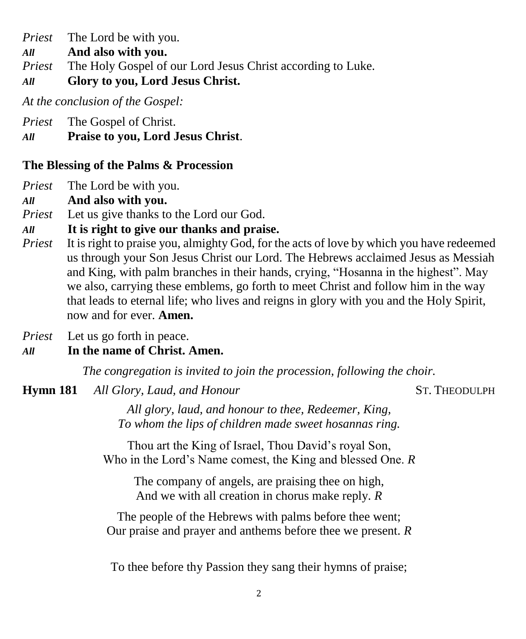*Priest* The Lord be with you.

- *All* **And also with you.**
- *Priest* The Holy Gospel of our Lord Jesus Christ according to Luke.
- *All* **Glory to you, Lord Jesus Christ.**

*At the conclusion of the Gospel:*

*Priest* The Gospel of Christ.

*All* **Praise to you, Lord Jesus Christ**.

#### **The Blessing of the Palms & Procession**

*Priest* The Lord be with you.

- *All* **And also with you.**
- *Priest* Let us give thanks to the Lord our God.
- *All* **It is right to give our thanks and praise.**
- *Priest* It is right to praise you, almighty God, for the acts of love by which you have redeemed us through your Son Jesus Christ our Lord. The Hebrews acclaimed Jesus as Messiah and King, with palm branches in their hands, crying, "Hosanna in the highest". May we also, carrying these emblems, go forth to meet Christ and follow him in the way that leads to eternal life; who lives and reigns in glory with you and the Holy Spirit, now and for ever. **Amen.**
- *Priest* Let us go forth in peace.

#### *All* **In the name of Christ. Amen.**

*The congregation is invited to join the procession, following the choir.*

**Hymn 181** *All Glory, Laud, and Honour* ST. THEODULPH

*All glory, laud, and honour to thee, Redeemer, King, To whom the lips of children made sweet hosannas ring.*

Thou art the King of Israel, Thou David's royal Son, Who in the Lord's Name comest, the King and blessed One. *R*

The company of angels, are praising thee on high, And we with all creation in chorus make reply. *R*

The people of the Hebrews with palms before thee went; Our praise and prayer and anthems before thee we present. *R*

To thee before thy Passion they sang their hymns of praise;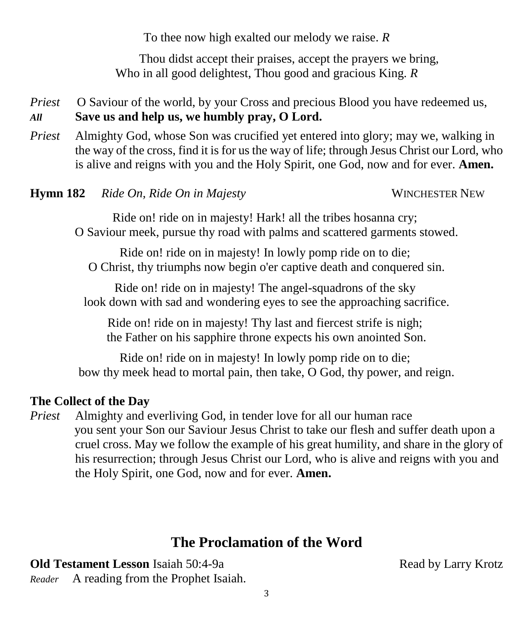To thee now high exalted our melody we raise. *R*

Thou didst accept their praises, accept the prayers we bring, Who in all good delightest, Thou good and gracious King. *R*

*Priest* O Saviour of the world, by your Cross and precious Blood you have redeemed us, *All* **Save us and help us, we humbly pray, O Lord.**

*Priest* Almighty God, whose Son was crucified yet entered into glory; may we, walking in the way of the cross, find it is for us the way of life; through Jesus Christ our Lord, who is alive and reigns with you and the Holy Spirit, one God, now and for ever. **Amen.**

#### **Hymn 182** *Ride On, Ride On in Majesty* **WINCHESTER NEW**

Ride on! ride on in majesty! Hark! all the tribes hosanna cry; O Saviour meek, pursue thy road with palms and scattered garments stowed.

Ride on! ride on in majesty! In lowly pomp ride on to die; O Christ, thy triumphs now begin o'er captive death and conquered sin.

Ride on! ride on in majesty! The angel-squadrons of the sky look down with sad and wondering eyes to see the approaching sacrifice.

Ride on! ride on in majesty! Thy last and fiercest strife is nigh; the Father on his sapphire throne expects his own anointed Son.

Ride on! ride on in majesty! In lowly pomp ride on to die; bow thy meek head to mortal pain, then take, O God, thy power, and reign.

#### **The Collect of the Day**

*Priest* Almighty and everliving God, in tender love for all our human race you sent your Son our Saviour Jesus Christ to take our flesh and suffer death upon a cruel cross. May we follow the example of his great humility, and share in the glory of his resurrection; through Jesus Christ our Lord, who is alive and reigns with you and the Holy Spirit, one God, now and for ever. **Amen.**

# **The Proclamation of the Word**

**Old Testament Lesson** Isaiah 50:4-9a Read by Larry Krotz

*Reader* A reading from the Prophet Isaiah.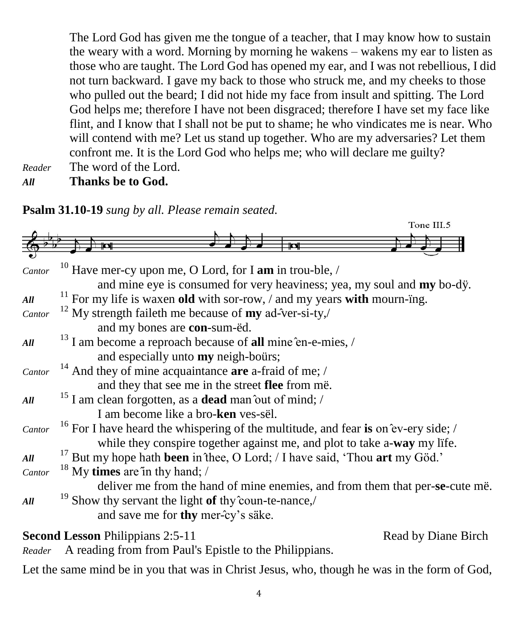The Lord God has given me the tongue of a teacher, that I may know how to sustain the weary with a word. Morning by morning he wakens – wakens my ear to listen as those who are taught. The Lord God has opened my ear, and I was not rebellious, I did not turn backward. I gave my back to those who struck me, and my cheeks to those who pulled out the beard; I did not hide my face from insult and spitting. The Lord God helps me; therefore I have not been disgraced; therefore I have set my face like flint, and I know that I shall not be put to shame; he who vindicates me is near. Who will contend with me? Let us stand up together. Who are my adversaries? Let them confront me. It is the Lord God who helps me; who will declare me guilty? *Reader* The word of the Lord.

*All* **Thanks be to God.**

**Psalm 31.10-19** *sung by all. Please remain seated.*

|                                                                | Tone III.5                                                                                                                          |  |  |
|----------------------------------------------------------------|-------------------------------------------------------------------------------------------------------------------------------------|--|--|
|                                                                |                                                                                                                                     |  |  |
|                                                                |                                                                                                                                     |  |  |
| Cantor                                                         | <sup>10</sup> Have mer-cy upon me, O Lord, for I <b>am</b> in trou-ble, $\frac{1}{2}$                                               |  |  |
|                                                                | and mine eye is consumed for very heaviness; yea, my soul and my bo-dy.                                                             |  |  |
| All                                                            | $11$ For my life is waxen old with sor-row, / and my years with mourn-ing.                                                          |  |  |
| Cantor                                                         | <sup>12</sup> My strength faileth me because of <b>my</b> ad-ver-si-ty,/                                                            |  |  |
|                                                                | and my bones are con-sum-ëd.                                                                                                        |  |  |
| All                                                            | $^{13}$ I am become a reproach because of all mine en-e-mies, /                                                                     |  |  |
|                                                                | and especially unto my neigh-bours;                                                                                                 |  |  |
| Cantor                                                         | <sup>14</sup> And they of mine acquaintance <b>are</b> a-fraid of me; /                                                             |  |  |
|                                                                | and they that see me in the street flee from më.                                                                                    |  |  |
| All                                                            | <sup>15</sup> I am clean forgotten, as a <b>dead</b> man out of mind; /                                                             |  |  |
|                                                                | I am become like a bro- <b>ken</b> ves-sël.                                                                                         |  |  |
| Cantor                                                         | <sup>16</sup> For I have heard the whispering of the multitude, and fear is on ev-ery side; /                                       |  |  |
|                                                                | while they conspire together against me, and plot to take a-way my life.                                                            |  |  |
| All                                                            | <sup>17</sup> But my hope hath been in thee, O Lord; / I have said, 'Thou art my Göd.'                                              |  |  |
| Cantor                                                         | $^{18}$ My times are in thy hand; /                                                                                                 |  |  |
|                                                                | deliver me from the hand of mine enemies, and from them that per-se-cute me.                                                        |  |  |
| All                                                            | Show thy servant the light of thy coun-te-nance,/                                                                                   |  |  |
|                                                                | and save me for thy mer-cy's säke.                                                                                                  |  |  |
| <b>Second Lesson Philippians 2:5-11</b><br>Read by Diane Birch |                                                                                                                                     |  |  |
|                                                                | $\mathbf{A}$ and $\mathbf{B}$ are $\mathbf{C}$ and $\mathbf{D}$ and $\mathbf{D}$ and $\mathbf{D}$ and $\mathbf{D}$ and $\mathbf{D}$ |  |  |

*Reader* A reading from from Paul's Epistle to the Philippians.

Let the same mind be in you that was in Christ Jesus, who, though he was in the form of God,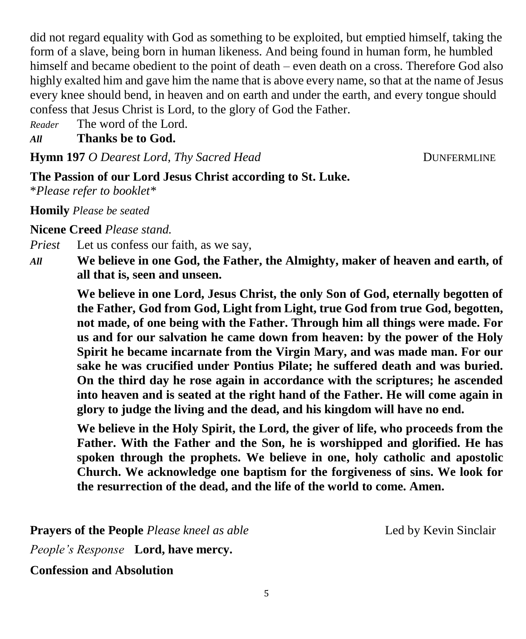did not regard equality with God as something to be exploited, but emptied himself, taking the form of a slave, being born in human likeness. And being found in human form, he humbled himself and became obedient to the point of death – even death on a cross. Therefore God also highly exalted him and gave him the name that is above every name, so that at the name of Jesus every knee should bend, in heaven and on earth and under the earth, and every tongue should confess that Jesus Christ is Lord, to the glory of God the Father.

*Reader* The word of the Lord.

*All* **Thanks be to God.**

**Hymn 197** *O Dearest Lord, Thy Sacred Head* DUNFERMLINE

**The Passion of our Lord Jesus Christ according to St. Luke.** \**Please refer to booklet\**

**Homily** *Please be seated*

**Nicene Creed** *Please stand.*

*Priest* Let us confess our faith, as we say,

*All* **We believe in one God, the Father, the Almighty, maker of heaven and earth, of all that is, seen and unseen.** 

**We believe in one Lord, Jesus Christ, the only Son of God, eternally begotten of the Father, God from God, Light from Light, true God from true God, begotten, not made, of one being with the Father. Through him all things were made. For us and for our salvation he came down from heaven: by the power of the Holy Spirit he became incarnate from the Virgin Mary, and was made man. For our sake he was crucified under Pontius Pilate; he suffered death and was buried. On the third day he rose again in accordance with the scriptures; he ascended into heaven and is seated at the right hand of the Father. He will come again in glory to judge the living and the dead, and his kingdom will have no end.** 

**We believe in the Holy Spirit, the Lord, the giver of life, who proceeds from the Father. With the Father and the Son, he is worshipped and glorified. He has spoken through the prophets. We believe in one, holy catholic and apostolic Church. We acknowledge one baptism for the forgiveness of sins. We look for the resurrection of the dead, and the life of the world to come. Amen.**

**Prayers of the People** *Please kneel as able* Led by Kevin Sinclair

*People's Response* **Lord, have mercy.**

**Confession and Absolution**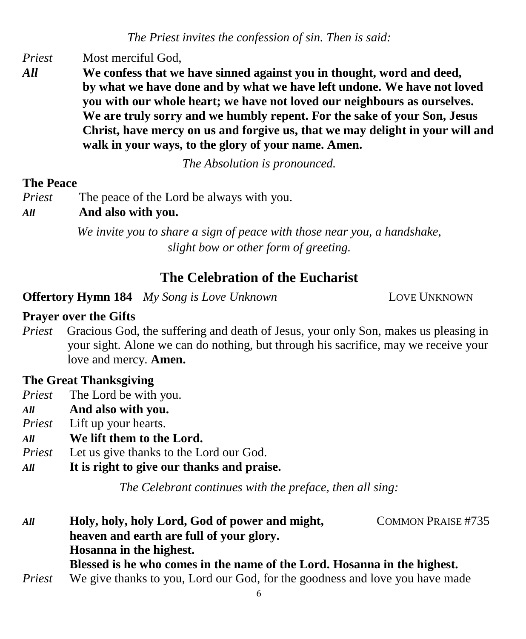*The Priest invites the confession of sin. Then is said:*

*Priest* Most merciful God,

*All* **We confess that we have sinned against you in thought, word and deed, by what we have done and by what we have left undone. We have not loved you with our whole heart; we have not loved our neighbours as ourselves. We are truly sorry and we humbly repent. For the sake of your Son, Jesus Christ, have mercy on us and forgive us, that we may delight in your will and walk in your ways, to the glory of your name. Amen.** 

*The Absolution is pronounced.*

## **The Peace**

- *Priest* The peace of the Lord be always with you.
- *All* **And also with you.**

*We invite you to share a sign of peace with those near you, a handshake, slight bow or other form of greeting.*

# **The Celebration of the Eucharist**

**Offertory Hymn 184** *My Song is Love Unknown* LOVE UNKNOWN

## **Prayer over the Gifts**

*Priest* Gracious God, the suffering and death of Jesus, your only Son, makes us pleasing in your sight. Alone we can do nothing, but through his sacrifice, may we receive your love and mercy. **Amen.**

# **The Great Thanksgiving**

- *Priest* The Lord be with you.
- *All* **And also with you.**
- *Priest* Lift up your hearts.
- *All* **We lift them to the Lord.**
- *Priest* Let us give thanks to the Lord our God.
- *All* **It is right to give our thanks and praise.**

*The Celebrant continues with the preface, then all sing:*

All **Holy, holy, holy Lord, God of power and might,** COMMON PRAISE #735 **heaven and earth are full of your glory. Hosanna in the highest. Blessed is he who comes in the name of the Lord. Hosanna in the highest.** *Priest* We give thanks to you, Lord our God, for the goodness and love you have made

6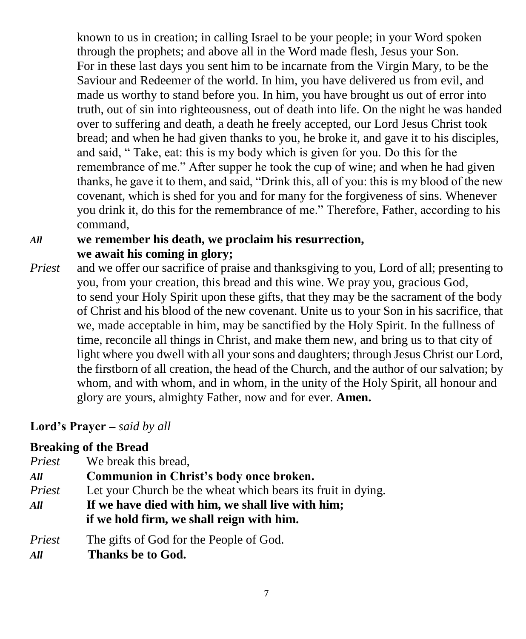known to us in creation; in calling Israel to be your people; in your Word spoken through the prophets; and above all in the Word made flesh, Jesus your Son. For in these last days you sent him to be incarnate from the Virgin Mary, to be the Saviour and Redeemer of the world. In him, you have delivered us from evil, and made us worthy to stand before you. In him, you have brought us out of error into truth, out of sin into righteousness, out of death into life. On the night he was handed over to suffering and death, a death he freely accepted, our Lord Jesus Christ took bread; and when he had given thanks to you, he broke it, and gave it to his disciples, and said, " Take, eat: this is my body which is given for you. Do this for the remembrance of me." After supper he took the cup of wine; and when he had given thanks, he gave it to them, and said, "Drink this, all of you: this is my blood of the new covenant, which is shed for you and for many for the forgiveness of sins. Whenever you drink it, do this for the remembrance of me." Therefore, Father, according to his command,

### *All* **we remember his death, we proclaim his resurrection, we await his coming in glory;**

*Priest* and we offer our sacrifice of praise and thanksgiving to you, Lord of all; presenting to you, from your creation, this bread and this wine. We pray you, gracious God, to send your Holy Spirit upon these gifts, that they may be the sacrament of the body of Christ and his blood of the new covenant. Unite us to your Son in his sacrifice, that we, made acceptable in him, may be sanctified by the Holy Spirit. In the fullness of time, reconcile all things in Christ, and make them new, and bring us to that city of light where you dwell with all your sons and daughters; through Jesus Christ our Lord, the firstborn of all creation, the head of the Church, and the author of our salvation; by whom, and with whom, and in whom, in the unity of the Holy Spirit, all honour and glory are yours, almighty Father, now and for ever. **Amen.**

# **Lord's Prayer –** *said by all*

#### **Breaking of the Bread**

| Priest | We break this bread,                                         |  |  |
|--------|--------------------------------------------------------------|--|--|
| All    | Communion in Christ's body once broken.                      |  |  |
| Priest | Let your Church be the wheat which bears its fruit in dying. |  |  |
| All    | If we have died with him, we shall live with him;            |  |  |
|        | if we hold firm, we shall reign with him.                    |  |  |
| Priest | The gifts of God for the People of God.                      |  |  |

*All* **Thanks be to God.**